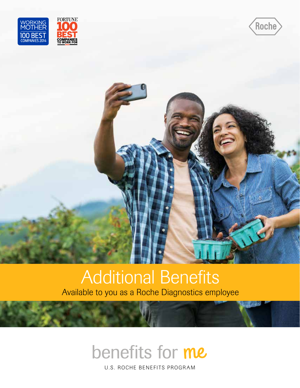



### Additional Benefits Available to you as a Roche Diagnostics employee

## benefits for me

U.S. ROCHE BENEFITS PROGRAM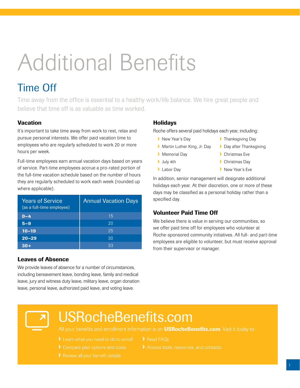# Additional Benefits

### Time Off

Time away from the office is essential to a healthy work/life balance. We hire great people and believe that time off is as valuable as time worked.

#### **Vacation**

It's important to take time away from work to rest, relax and pursue personal interests. We offer paid vacation time to employees who are regularly scheduled to work 20 or more hours per week.

Full-time employees earn annual vacation days based on years of service. Part-time employees accrue a pro-rated portion of the full-time vacation schedule based on the number of hours they are regularly scheduled to work each week (rounded up where applicable).

| <b>Years of Service</b><br>(as a full-time employee) | <b>Annual Vacation Days</b> |
|------------------------------------------------------|-----------------------------|
| $0 - 4$                                              | 15                          |
| $5 - 9$                                              | 20                          |
| $10 - 19$                                            | 25                          |
| $20 - 29$                                            | 30                          |
| $30+$                                                | 33                          |

#### Leaves of Absence

We provide leaves of absence for a number of circumstances, including bereavement leave, bonding leave, family and medical leave, jury and witness duty leave, military leave, organ donation leave, personal leave, authorized paid leave, and voting leave.

#### Holidays

Roche offers several paid holidays each year, including:

- **•** New Year's Day
- **> Martin Luther King, Jr. Day**
- **>** Memorial Day
- › July 4th
- › Labor Day
- **>** Thanksgiving Day
- **Day after Thanksgiving**
- › Christmas Eve
- › Christmas Day
- › New Year's Eve

In addition, senior management will designate additional holidays each year. At their discretion, one or more of these days may be classified as a personal holiday rather than a specified day.

#### Volunteer Paid Time Off

We believe there is value in serving our communities, so we offer paid time off for employees who volunteer at Roche-sponsored community initiatives. All full- and part-time employees are eligible to volunteer, but must receive approval from their supervisor or manager.

### USRocheBenefits.com

All your benefits and enrollment information is on **USRocheBenefits.com**. Visit it today to:

- 
- > Read FAOs
	-
-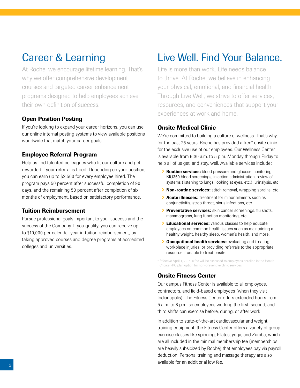### Career & Learning

At Roche, we encourage lifetime learning. That's why we offer comprehensive development courses and targeted career enhancement programs designed to help employees achieve their own definition of success.

#### Open Position Posting

If you're looking to expand your career horizons, you can use our online internal posting systems to view available positions worldwide that match your career goals.

#### Employee Referral Program

Help us find talented colleagues who fit our culture and get rewarded if your referral is hired. Depending on your position, you can earn up to \$2,500 for every employee hired. The program pays 50 percent after successful completion of 90 days, and the remaining 50 percent after completion of six months of employment, based on satisfactory performance.

#### Tuition Reimbursement

Pursue professional goals important to your success and the success of the Company. If you qualify, you can receive up to \$10,000 per calendar year in tuition reimbursement, by taking approved courses and degree programs at accredited colleges and universities.

### Live Well. Find Your Balance.

Life is more than work. Life needs balance to thrive. At Roche, we believe in enhancing your physical, emotional, and financial health. Through Live Well, we strive to offer services, resources, and conveniences that support your experiences at work and home.

#### Onsite Medical Clinic

We're committed to building a culture of wellness. That's why, for the past 25 years, Roche has provided a free\* onsite clinic for the exclusive use of our employees. Our Wellness Center is available from 6:30 a.m. to 5 p.m. Monday through Friday to help all of us get, and stay, well. Available services include:

- **> Routine services:** blood pressure and glucose monitoring, BIO360 blood screenings, injection administration, review of systems (listening to lungs, looking at eyes, etc.), urinalysis, etc.
- > Non-routine services: stitch removal, wrapping sprains, etc.
- **> Acute illnesses:** treatment for minor ailments such as conjunctivitis, strep throat, sinus infections, etc.
- **Preventative services:** skin cancer screenings, flu shots, mammograms, lung function monitoring, etc.
- **> Educational services:** various classes to help educate employees on common health issues such as maintaining a healthy weight, healthy sleep, women's health, and more.
- **> Occupational health services:** evaluating and treating workplace injuries, or providing referrals to the appropriate resource if unable to treat onsite.

\* Effective April 1, 2015, a fee will be assessed to employees enrolled in the Health Choice PPO plan option for non-preventive clinic services.

#### Onsite Fitness Center

Our campus Fitness Center is available to all employees, contractors, and field‑based employees (when they visit Indianapolis). The Fitness Center offers extended hours from 5 a.m. to 8 p.m. so employees working the first, second, and third shifts can exercise before, during, or after work.

In addition to state-of-the-art cardiovascular and weight training equipment, the Fitness Center offers a variety of group exercise classes like spinning, Pilates, yoga, and Zumba, which are all included in the minimal membership fee (memberships are heavily subsidized by Roche) that employees pay via payroll deduction. Personal training and massage therapy are also available for an additional low fee.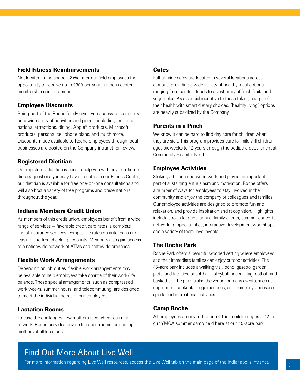#### Field Fitness Reimbursements

Not located in Indianapolis? We offer our field employees the opportunity to receive up to \$300 per year in fitness center membership reimbursement.

#### Employee Discounts

Being part of the Roche family gives you access to discounts on a wide array of activities and goods, including local and national attractions, dining, Apple® products, Microsoft products, personal cell phone plans, and much more. Discounts made available to Roche employees through local businesses are posted on the Company intranet for review.

#### Registered Dietitian

Our registered dietitian is here to help you with any nutrition or dietary questions you may have. Located in our Fitness Center, our dietitian is available for free one-on-one consultations and will also host a variety of free programs and presentations throughout the year.

#### Indiana Members Credit Union

As members of this credit union, employees benefit from a wide range of services — favorable credit card rates, a complete line of insurance services, competitive rates on auto loans and leasing, and free checking accounts. Members also gain access to a nationwide network of ATMs and statewide branches.

#### Flexible Work Arrangements

Depending on job duties, flexible work arrangements may be available to help employees take charge of their work/life balance. These special arrangements, such as compressed work weeks, summer hours, and telecommuting, are designed to meet the individual needs of our employees.

#### Lactation Rooms

To ease the challenges new mothers face when returning to work, Roche provides private lactation rooms for nursing mothers at all locations.

### Cafés

Full-service cafés are located in several locations across campus, providing a wide variety of healthy meal options ranging from comfort foods to a vast array of fresh fruits and vegetables. As a special incentive to those taking charge of their health with smart dietary choices, "healthy living" options are heavily subsidized by the Company.

#### Parents in a Pinch

We know it can be hard to find day care for children when they are sick. This program provides care for mildly ill children ages six weeks to 12 years through the pediatric department at Community Hospital North.

#### Employee Activities

Striking a balance between work and play is an important part of sustaining enthusiasm and motivation. Roche offers a number of ways for employees to stay involved in the community and enjoy the company of colleagues and families. Our employee activities are designed to promote fun and relaxation, and provide inspiration and recognition. Highlights include sports leagues, annual family events, summer concerts, networking opportunities, interactive development workshops, and a variety of team‑level events.

#### The Roche Park

Roche Park offers a beautiful wooded setting where employees and their immediate families can enjoy outdoor activities. The 45‑acre park includes a walking trail, pond, gazebo, garden plots, and facilities for softball, volleyball, soccer, flag football, and basketball. The park is also the venue for many events, such as department cookouts, large meetings, and Company‑sponsored sports and recreational activities.

#### Camp Roche

All employees are invited to enroll their children ages 5-12 in our YMCA summer camp held here at our 45-acre park.

### Find Out More About Live Well

For more information regarding Live Well resources, access the Live Well tab on the main page of the Indianapolis intranet.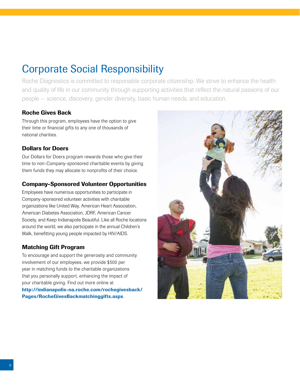### Corporate Social Responsibility

Roche Diagnostics is committed to responsible corporate citizenship. We strive to enhance the health and quality of life in our community through supporting activities that reflect the natural passions of our people — science, discovery, gender diversity, basic human needs, and education.

#### Roche Gives Back

Through this program, employees have the option to give their time or financial gifts to any one of thousands of national charities.

#### Dollars for Doers

Our Dollars for Doers program rewards those who give their time to non‑Company‑sponsored charitable events by giving them funds they may allocate to nonprofits of their choice.

#### Company‑Sponsored Volunteer Opportunities

Employees have numerous opportunities to participate in Company‑sponsored volunteer activities with charitable organizations like United Way, American Heart Association, American Diabetes Association, JDRF, American Cancer Society, and Keep Indianapolis Beautiful. Like all Roche locations around the world, we also participate in the annual Children's Walk, benefitting young people impacted by HIV/AIDS.

#### Matching Gift Program

To encourage and support the generosity and community involvement of our employees, we provide \$500 per year in matching funds to the charitable organizations that you personally support, enhancing the impact of your charitable giving. Find out more online at http://indianapolis-na.roche.com/rochegivesback/ Pages/RocheGivesBackmatchinggifts.aspx.

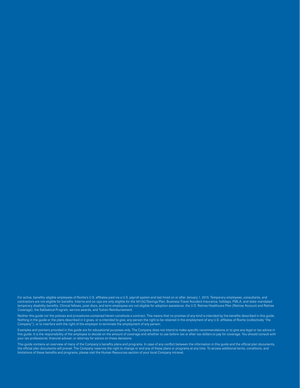For active, benefits-eligible employees of Roche's U.S. affiliates paid via a U.S. payroll system and last hired on or after January 1, 2015. Temporary employees, consultants, and contractors are not eligible for benefits. Interns and co-ops are only eligible for the 401(k)/Savings Plan, Business Travel Accident Insurance, holidays, FMLA, and state-mandated temporary disability benefits. Clinical fellows, post‑docs, and term employees are not eligible for adoption assistance, the U.S. Retiree Healthcare Plan (Retiree Account and Retiree Coverage), the Sabbatical Program, service awards, and Tuition Reimbursement.

Neither this guide nor the policies and procedures contained herein constitute a contract. This means that no promise of any kind is intended by the benefits described in this guide. Nothing in the guide or the plans described in it gives, or is intended to give, any person the right to be retained in the employment of any U.S. affiliates of Roche (collectively "the Company"), or to interfere with the right of the employer to terminate the employment of any person.

Examples and pointers provided in this guide are for educational purposes only. The Company does not intend to make specific recommendations or to give any legal or tax advice in this guide. It is the responsibility of the employee to decide on the amount of coverage and whether to use before-tax or after-tax dollars to pay for coverage. You should consult with your tax professional, financial adviser, or attorney for advice on these decisions.

This guide contains an overview of many of the Company's benefits plans and programs. In case of any conflict between the information in this guide and the official plan documents, the official plan documents will prevail. The Company reserves the right to change or end any of these plans or programs at any time. To access additional terms, conditions, and limitations of these benefits and programs, please visit the Human Resources section of your local Company intranet.